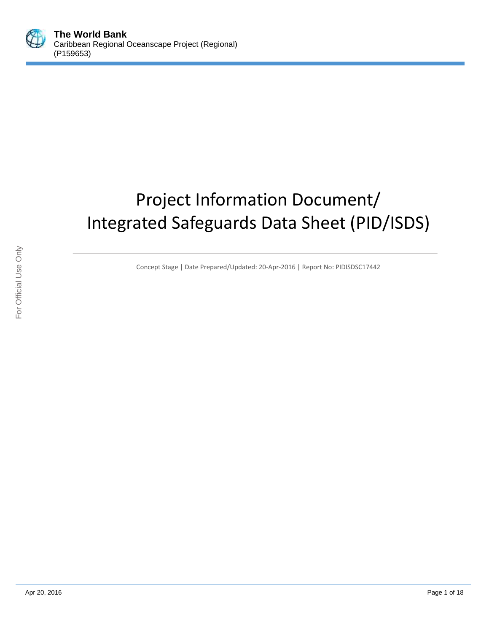

# Project Information Document/ Integrated Safeguards Data Sheet (PID/ISDS)

Concept Stage | Date Prepared/Updated: 20-Apr-2016 | Report No: PIDISDSC17442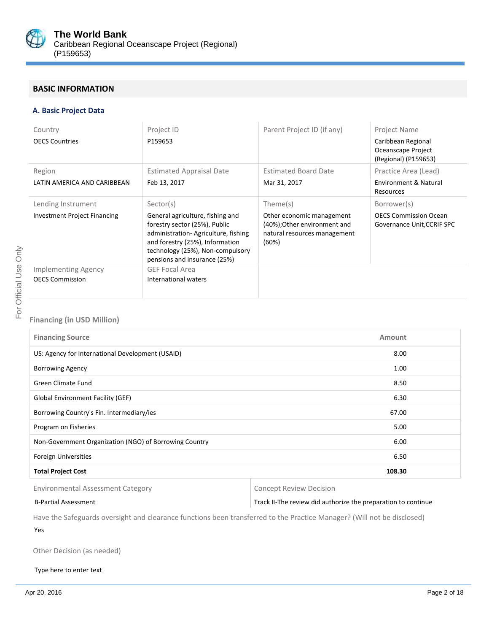

# **BASIC INFORMATION**

## **A. Basic Project Data**

| Country<br><b>OECS Countries</b>                          | Project ID<br>P159653                                                                                                                                                                                                        | Parent Project ID (if any)                                                                                     | Project Name<br>Caribbean Regional<br>Oceanscape Project                           |
|-----------------------------------------------------------|------------------------------------------------------------------------------------------------------------------------------------------------------------------------------------------------------------------------------|----------------------------------------------------------------------------------------------------------------|------------------------------------------------------------------------------------|
| Region<br>LATIN AMERICA AND CARIBBEAN                     | <b>Estimated Appraisal Date</b><br>Feb 13, 2017                                                                                                                                                                              | <b>Estimated Board Date</b><br>Mar 31, 2017                                                                    | (Regional) (P159653)<br>Practice Area (Lead)<br>Environment & Natural<br>Resources |
| Lending Instrument<br><b>Investment Project Financing</b> | Sector(s)<br>General agriculture, fishing and<br>forestry sector (25%), Public<br>administration-Agriculture, fishing<br>and forestry (25%), Information<br>technology (25%), Non-compulsory<br>pensions and insurance (25%) | Theme(s)<br>Other economic management<br>(40%); Other environment and<br>natural resources management<br>(60%) | Borrower(s)<br><b>OECS Commission Ocean</b><br>Governance Unit, CCRIF SPC          |
| Implementing Agency<br><b>OECS Commission</b>             | <b>GEF Focal Area</b><br>International waters                                                                                                                                                                                |                                                                                                                |                                                                                    |

## **Financing (in USD Million)**

| <b>Financing Source</b>                                |      |  |
|--------------------------------------------------------|------|--|
| US: Agency for International Development (USAID)       | 8.00 |  |
| <b>Borrowing Agency</b>                                |      |  |
| Green Climate Fund                                     | 8.50 |  |
| <b>Global Environment Facility (GEF)</b>               | 6.30 |  |
| Borrowing Country's Fin. Intermediary/ies              |      |  |
| Program on Fisheries                                   | 5.00 |  |
| Non-Government Organization (NGO) of Borrowing Country |      |  |
| <b>Foreign Universities</b><br>6.50                    |      |  |
| <b>Total Project Cost</b><br>108.30                    |      |  |

Environmental Assessment Category **Concept Review Decision** 

#### B-Partial Assessment Track II-The review did authorize the preparation to continue

Have the Safeguards oversight and clearance functions been transferred to the Practice Manager? (Will not be disclosed)

Yes

Other Decision (as needed)

#### Type here to enter text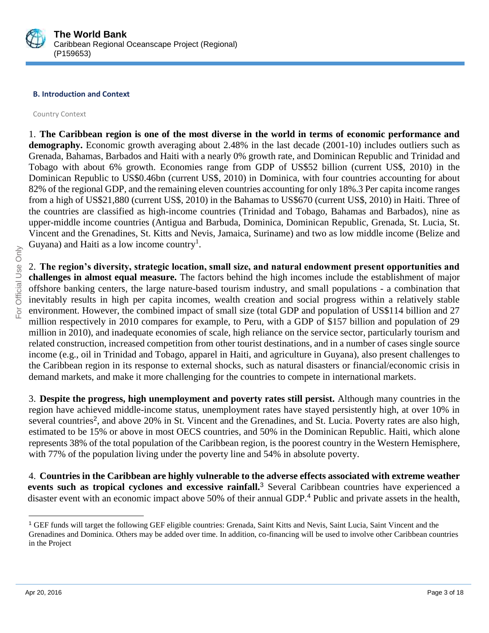

# **B. Introduction and Context**

Country Context

1. **The Caribbean region is one of the most diverse in the world in terms of economic performance and**  demography. Economic growth averaging about 2.48% in the last decade (2001-10) includes outliers such as Grenada, Bahamas, Barbados and Haiti with a nearly 0% growth rate, and Dominican Republic and Trinidad and Tobago with about 6% growth. Economies range from GDP of US\$52 billion (current US\$, 2010) in the Dominican Republic to US\$0.46bn (current US\$, 2010) in Dominica, with four countries accounting for about 82% of the regional GDP, and the remaining eleven countries accounting for only 18%.3 Per capita income ranges from a high of US\$21,880 (current US\$, 2010) in the Bahamas to US\$670 (current US\$, 2010) in Haiti. Three of the countries are classified as high-income countries (Trinidad and Tobago, Bahamas and Barbados), nine as upper-middle income countries (Antigua and Barbuda, Dominica, Dominican Republic, Grenada, St. Lucia, St. Vincent and the Grenadines, St. Kitts and Nevis, Jamaica, Suriname) and two as low middle income (Belize and Guyana) and Haiti as a low income country<sup>1</sup>.

2. **The region's diversity, strategic location, small size, and natural endowment present opportunities and challenges in almost equal measure.** The factors behind the high incomes include the establishment of major offshore banking centers, the large nature-based tourism industry, and small populations - a combination that inevitably results in high per capita incomes, wealth creation and social progress within a relatively stable environment. However, the combined impact of small size (total GDP and population of US\$114 billion and 27 million respectively in 2010 compares for example, to Peru, with a GDP of \$157 billion and population of 29 million in 2010), and inadequate economies of scale, high reliance on the service sector, particularly tourism and related construction, increased competition from other tourist destinations, and in a number of cases single source income (e.g., oil in Trinidad and Tobago, apparel in Haiti, and agriculture in Guyana), also present challenges to the Caribbean region in its response to external shocks, such as natural disasters or financial/economic crisis in demand markets, and make it more challenging for the countries to compete in international markets.

3. **Despite the progress, high unemployment and poverty rates still persist.** Although many countries in the region have achieved middle-income status, unemployment rates have stayed persistently high, at over 10% in several countries<sup>2</sup>, and above 20% in St. Vincent and the Grenadines, and St. Lucia. Poverty rates are also high, estimated to be 15% or above in most OECS countries, and 50% in the Dominican Republic. Haiti, which alone represents 38% of the total population of the Caribbean region, is the poorest country in the Western Hemisphere, with 77% of the population living under the poverty line and 54% in absolute poverty.

4. **Countries in the Caribbean are highly vulnerable to the adverse effects associated with extreme weather events such as tropical cyclones and excessive rainfall.**<sup>3</sup> Several Caribbean countries have experienced a disaster event with an economic impact above 50% of their annual GDP.<sup>4</sup> Public and private assets in the health,

<sup>1</sup> GEF funds will target the following GEF eligible countries: Grenada, Saint Kitts and Nevis, Saint Lucia, Saint Vincent and the Grenadines and Dominica. Others may be added over time. In addition, co-financing will be used to involve other Caribbean countries in the Project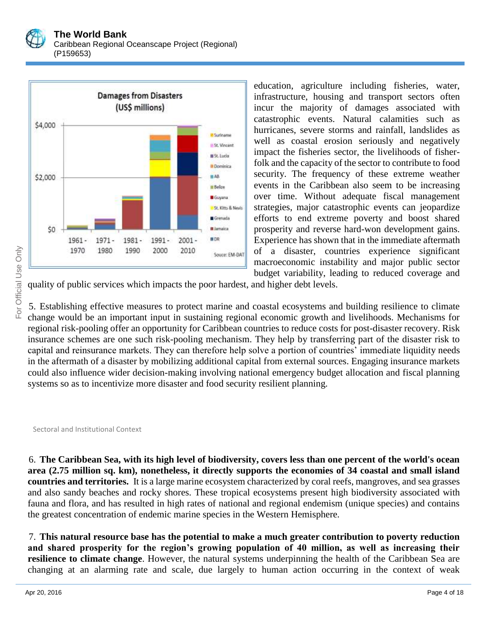



education, agriculture including fisheries, water, infrastructure, housing and transport sectors often incur the majority of damages associated with catastrophic events. Natural calamities such as hurricanes, severe storms and rainfall, landslides as well as coastal erosion seriously and negatively impact the fisheries sector, the livelihoods of fisherfolk and the capacity of the sector to contribute to food security. The frequency of these extreme weather events in the Caribbean also seem to be increasing over time. Without adequate fiscal management strategies, major catastrophic events can jeopardize efforts to end extreme poverty and boost shared prosperity and reverse hard-won development gains. Experience has shown that in the immediate aftermath of a disaster, countries experience significant macroeconomic instability and major public sector budget variability, leading to reduced coverage and

quality of public services which impacts the poor hardest, and higher debt levels.

5. Establishing effective measures to protect marine and coastal ecosystems and building resilience to climate change would be an important input in sustaining regional economic growth and livelihoods. Mechanisms for regional risk-pooling offer an opportunity for Caribbean countries to reduce costs for post-disaster recovery. Risk insurance schemes are one such risk-pooling mechanism. They help by transferring part of the disaster risk to capital and reinsurance markets. They can therefore help solve a portion of countries' immediate liquidity needs in the aftermath of a disaster by mobilizing additional capital from external sources. Engaging insurance markets could also influence wider decision-making involving national emergency budget allocation and fiscal planning systems so as to incentivize more disaster and food security resilient planning.

Sectoral and Institutional Context

6. **The Caribbean Sea, with its high level of biodiversity, covers less than one percent of the world's ocean area (2.75 million sq. km), nonetheless, it directly supports the economies of 34 coastal and small island countries and territories.** It is a large marine ecosystem characterized by coral reefs, mangroves, and sea grasses and also sandy beaches and rocky shores. These tropical ecosystems present high biodiversity associated with fauna and flora, and has resulted in high rates of national and regional endemism (unique species) and contains the greatest concentration of endemic marine species in the Western Hemisphere.

7. **This natural resource base has the potential to make a much greater contribution to poverty reduction and shared prosperity for the region's growing population of 40 million, as well as increasing their resilience to climate change**. However, the natural systems underpinning the health of the Caribbean Sea are changing at an alarming rate and scale, due largely to human action occurring in the context of weak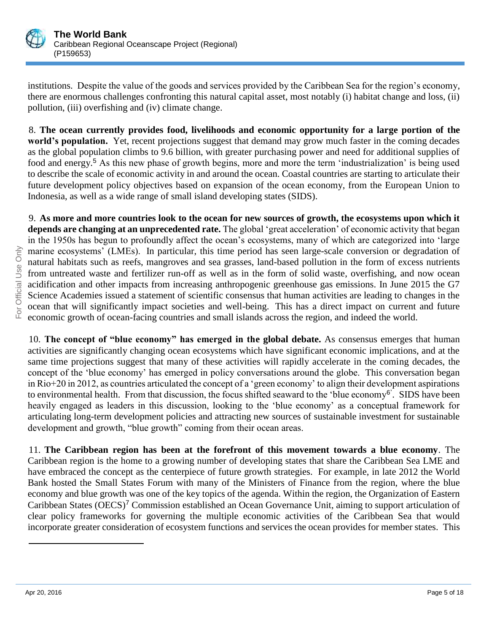

institutions. Despite the value of the goods and services provided by the Caribbean Sea for the region's economy, there are enormous challenges confronting this natural capital asset, most notably (i) habitat change and loss, (ii) pollution, (iii) overfishing and (iv) climate change.

8. **The ocean currently provides food, livelihoods and economic opportunity for a large portion of the world's population.** Yet, recent projections suggest that demand may grow much faster in the coming decades as the global population climbs to 9.6 billion, with greater purchasing power and need for additional supplies of food and energy.<sup>5</sup> As this new phase of growth begins, more and more the term 'industrialization' is being used to describe the scale of economic activity in and around the ocean. Coastal countries are starting to articulate their future development policy objectives based on expansion of the ocean economy, from the European Union to Indonesia, as well as a wide range of small island developing states (SIDS).

9. **As more and more countries look to the ocean for new sources of growth, the ecosystems upon which it depends are changing at an unprecedented rate.** The global 'great acceleration' of economic activity that began in the 1950s has begun to profoundly affect the ocean's ecosystems, many of which are categorized into 'large marine ecosystems' (LMEs). In particular, this time period has seen large-scale conversion or degradation of natural habitats such as reefs, mangroves and sea grasses, land-based pollution in the form of excess nutrients from untreated waste and fertilizer run-off as well as in the form of solid waste, overfishing, and now ocean acidification and other impacts from increasing anthropogenic greenhouse gas emissions. In June 2015 the G7 Science Academies issued a statement of scientific consensus that human activities are leading to changes in the ocean that will significantly impact societies and well-being. This has a direct impact on current and future economic growth of ocean-facing countries and small islands across the region, and indeed the world.

10. **The concept of "blue economy" has emerged in the global debate.** As consensus emerges that human activities are significantly changing ocean ecosystems which have significant economic implications, and at the same time projections suggest that many of these activities will rapidly accelerate in the coming decades, the concept of the 'blue economy' has emerged in policy conversations around the globe. This conversation began in Rio+20 in 2012, as countries articulated the concept of a 'green economy' to align their development aspirations to environmental health. From that discussion, the focus shifted seaward to the 'blue economy<sup>6'</sup>. SIDS have been heavily engaged as leaders in this discussion, looking to the 'blue economy' as a conceptual framework for articulating long-term development policies and attracting new sources of sustainable investment for sustainable development and growth, "blue growth" coming from their ocean areas.

11. **The Caribbean region has been at the forefront of this movement towards a blue economy**. The Caribbean region is the home to a growing number of developing states that share the Caribbean Sea LME and have embraced the concept as the centerpiece of future growth strategies. For example, in late 2012 the World Bank hosted the Small States Forum with many of the Ministers of Finance from the region, where the blue economy and blue growth was one of the key topics of the agenda. Within the region, the Organization of Eastern Caribbean States (OECS)<sup>7</sup> Commission established an Ocean Governance Unit, aiming to support articulation of clear policy frameworks for governing the multiple economic activities of the Caribbean Sea that would incorporate greater consideration of ecosystem functions and services the ocean provides for member states. This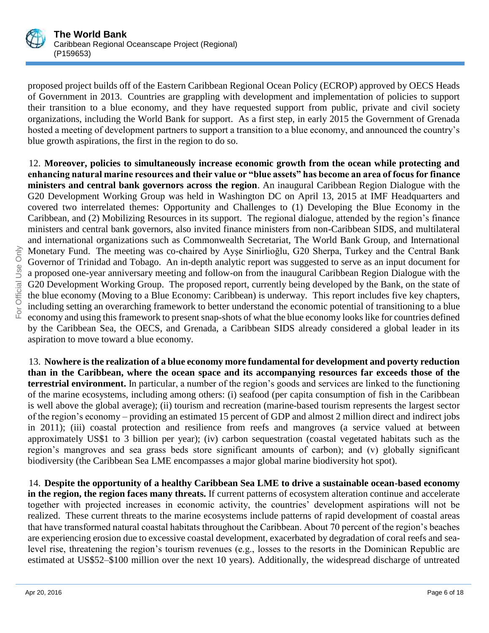

proposed project builds off of the Eastern Caribbean Regional Ocean Policy (ECROP) approved by OECS Heads of Government in 2013. Countries are grappling with development and implementation of policies to support their transition to a blue economy, and they have requested support from public, private and civil society organizations, including the World Bank for support. As a first step, in early 2015 the Government of Grenada hosted a meeting of development partners to support a transition to a blue economy, and announced the country's blue growth aspirations, the first in the region to do so.

12. **Moreover, policies to simultaneously increase economic growth from the ocean while protecting and enhancing natural marine resources and their value or "blue assets" has become an area of focus for finance ministers and central bank governors across the region**. An inaugural Caribbean Region Dialogue with the G20 Development Working Group was held in Washington DC on April 13, 2015 at IMF Headquarters and covered two interrelated themes: Opportunity and Challenges to (1) Developing the Blue Economy in the Caribbean, and (2) Mobilizing Resources in its support. The regional dialogue, attended by the region's finance ministers and central bank governors, also invited finance ministers from non-Caribbean SIDS, and multilateral and international organizations such as Commonwealth Secretariat, The World Bank Group, and International Monetary Fund. The meeting was co-chaired by Ayşe Sinirlioğlu, G20 Sherpa, Turkey and the Central Bank Governor of Trinidad and Tobago. An in-depth analytic report was suggested to serve as an input document for a proposed one-year anniversary meeting and follow-on from the inaugural Caribbean Region Dialogue with the G20 Development Working Group. The proposed report, currently being developed by the Bank, on the state of the blue economy (Moving to a Blue Economy: Caribbean) is underway. This report includes five key chapters, including setting an overarching framework to better understand the economic potential of transitioning to a blue economy and using this framework to present snap-shots of what the blue economy looks like for countries defined by the Caribbean Sea, the OECS, and Grenada, a Caribbean SIDS already considered a global leader in its aspiration to move toward a blue economy.

13. **Nowhere is the realization of a blue economy more fundamental for development and poverty reduction than in the Caribbean, where the ocean space and its accompanying resources far exceeds those of the terrestrial environment.** In particular, a number of the region's goods and services are linked to the functioning of the marine ecosystems, including among others: (i) seafood (per capita consumption of fish in the Caribbean is well above the global average); (ii) tourism and recreation (marine-based tourism represents the largest sector of the region's economy – providing an estimated 15 percent of GDP and almost 2 million direct and indirect jobs in 2011); (iii) coastal protection and resilience from reefs and mangroves (a service valued at between approximately US\$1 to 3 billion per year); (iv) carbon sequestration (coastal vegetated habitats such as the region's mangroves and sea grass beds store significant amounts of carbon); and (v) globally significant biodiversity (the Caribbean Sea LME encompasses a major global marine biodiversity hot spot).

14. **Despite the opportunity of a healthy Caribbean Sea LME to drive a sustainable ocean-based economy in the region, the region faces many threats.** If current patterns of ecosystem alteration continue and accelerate together with projected increases in economic activity, the countries' development aspirations will not be realized. These current threats to the marine ecosystems include patterns of rapid development of coastal areas that have transformed natural coastal habitats throughout the Caribbean. About 70 percent of the region's beaches are experiencing erosion due to excessive coastal development, exacerbated by degradation of coral reefs and sealevel rise, threatening the region's tourism revenues (e.g., losses to the resorts in the Dominican Republic are estimated at US\$52–\$100 million over the next 10 years). Additionally, the widespread discharge of untreated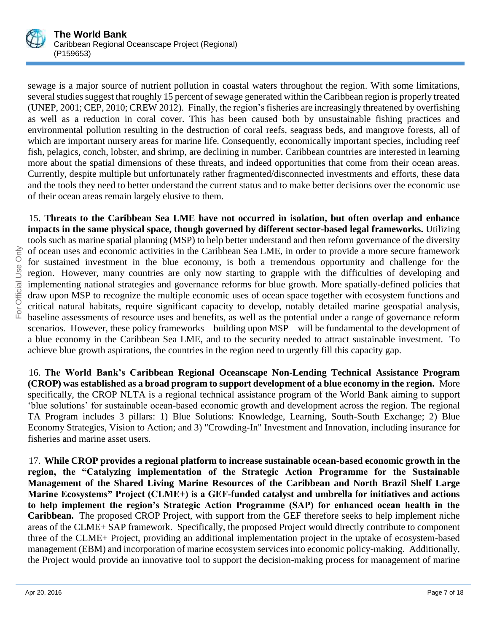

sewage is a major source of nutrient pollution in coastal waters throughout the region. With some limitations, several studies suggest that roughly 15 percent of sewage generated within the Caribbean region is properly treated (UNEP, 2001; CEP, 2010; CREW 2012). Finally, the region's fisheries are increasingly threatened by overfishing as well as a reduction in coral cover. This has been caused both by unsustainable fishing practices and environmental pollution resulting in the destruction of coral reefs, seagrass beds, and mangrove forests, all of which are important nursery areas for marine life. Consequently, economically important species, including reef fish, pelagics, conch, lobster, and shrimp, are declining in number. Caribbean countries are interested in learning more about the spatial dimensions of these threats, and indeed opportunities that come from their ocean areas. Currently, despite multiple but unfortunately rather fragmented/disconnected investments and efforts, these data and the tools they need to better understand the current status and to make better decisions over the economic use of their ocean areas remain largely elusive to them.

15. **Threats to the Caribbean Sea LME have not occurred in isolation, but often overlap and enhance impacts in the same physical space, though governed by different sector-based legal frameworks.** Utilizing tools such as marine spatial planning (MSP) to help better understand and then reform governance of the diversity of ocean uses and economic activities in the Caribbean Sea LME, in order to provide a more secure framework for sustained investment in the blue economy, is both a tremendous opportunity and challenge for the region. However, many countries are only now starting to grapple with the difficulties of developing and implementing national strategies and governance reforms for blue growth. More spatially-defined policies that draw upon MSP to recognize the multiple economic uses of ocean space together with ecosystem functions and critical natural habitats, require significant capacity to develop, notably detailed marine geospatial analysis, baseline assessments of resource uses and benefits, as well as the potential under a range of governance reform scenarios. However, these policy frameworks – building upon MSP – will be fundamental to the development of a blue economy in the Caribbean Sea LME, and to the security needed to attract sustainable investment. To achieve blue growth aspirations, the countries in the region need to urgently fill this capacity gap.

16. **The World Bank's Caribbean Regional Oceanscape Non-Lending Technical Assistance Program (CROP) was established as a broad program to support development of a blue economy in the region.** More specifically, the CROP NLTA is a regional technical assistance program of the World Bank aiming to support 'blue solutions' for sustainable ocean-based economic growth and development across the region. The regional TA Program includes 3 pillars: 1) Blue Solutions: Knowledge, Learning, South-South Exchange; 2) Blue Economy Strategies, Vision to Action; and 3) "Crowding-In" Investment and Innovation, including insurance for fisheries and marine asset users.

17. **While CROP provides a regional platform to increase sustainable ocean-based economic growth in the region, the "Catalyzing implementation of the Strategic Action Programme for the Sustainable Management of the Shared Living Marine Resources of the Caribbean and North Brazil Shelf Large Marine Ecosystems" Project (CLME+) is a GEF-funded catalyst and umbrella for initiatives and actions to help implement the region's Strategic Action Programme (SAP) for enhanced ocean health in the Caribbean.** The proposed CROP Project, with support from the GEF therefore seeks to help implement niche areas of the CLME+ SAP framework. Specifically, the proposed Project would directly contribute to component three of the CLME+ Project, providing an additional implementation project in the uptake of ecosystem-based management (EBM) and incorporation of marine ecosystem services into economic policy-making. Additionally, the Project would provide an innovative tool to support the decision-making process for management of marine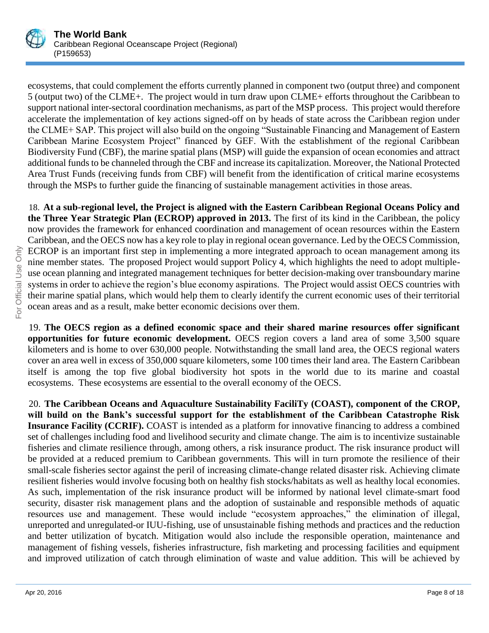

ecosystems, that could complement the efforts currently planned in component two (output three) and component 5 (output two) of the CLME+. The project would in turn draw upon CLME+ efforts throughout the Caribbean to support national inter-sectoral coordination mechanisms, as part of the MSP process. This project would therefore accelerate the implementation of key actions signed-off on by heads of state across the Caribbean region under the CLME+ SAP. This project will also build on the ongoing "Sustainable Financing and Management of Eastern Caribbean Marine Ecosystem Project" financed by GEF. With the establishment of the regional Caribbean Biodiversity Fund (CBF), the marine spatial plans (MSP) will guide the expansion of ocean economies and attract additional funds to be channeled through the CBF and increase its capitalization. Moreover, the National Protected Area Trust Funds (receiving funds from CBF) will benefit from the identification of critical marine ecosystems through the MSPs to further guide the financing of sustainable management activities in those areas.

18. **At a sub-regional level, the Project is aligned with the Eastern Caribbean Regional Oceans Policy and the Three Year Strategic Plan (ECROP) approved in 2013.** The first of its kind in the Caribbean, the policy now provides the framework for enhanced coordination and management of ocean resources within the Eastern Caribbean, and the OECS now has a key role to play in regional ocean governance. Led by the OECS Commission, ECROP is an important first step in implementing a more integrated approach to ocean management among its nine member states. The proposed Project would support Policy 4, which highlights the need to adopt multipleuse ocean planning and integrated management techniques for better decision-making over transboundary marine systems in order to achieve the region's blue economy aspirations. The Project would assist OECS countries with their marine spatial plans, which would help them to clearly identify the current economic uses of their territorial ocean areas and as a result, make better economic decisions over them.

19. **The OECS region as a defined economic space and their shared marine resources offer significant opportunities for future economic development.** OECS region covers a land area of some 3,500 square kilometers and is home to over 630,000 people. Notwithstanding the small land area, the OECS regional waters cover an area well in excess of 350,000 square kilometers, some 100 times their land area. The Eastern Caribbean itself is among the top five global biodiversity hot spots in the world due to its marine and coastal ecosystems. These ecosystems are essential to the overall economy of the OECS.

20. **The Caribbean Oceans and Aquaculture Sustainability FaciliTy (COAST), component of the CROP, will build on the Bank's successful support for the establishment of the Caribbean Catastrophe Risk Insurance Facility (CCRIF).** COAST is intended as a platform for innovative financing to address a combined set of challenges including food and livelihood security and climate change. The aim is to incentivize sustainable fisheries and climate resilience through, among others, a risk insurance product. The risk insurance product will be provided at a reduced premium to Caribbean governments. This will in turn promote the resilience of their small-scale fisheries sector against the peril of increasing climate-change related disaster risk. Achieving climate resilient fisheries would involve focusing both on healthy fish stocks/habitats as well as healthy local economies. As such, implementation of the risk insurance product will be informed by national level climate-smart food security, disaster risk management plans and the adoption of sustainable and responsible methods of aquatic resources use and management. These would include "ecosystem approaches," the elimination of illegal, unreported and unregulated-or IUU-fishing, use of unsustainable fishing methods and practices and the reduction and better utilization of bycatch. Mitigation would also include the responsible operation, maintenance and management of fishing vessels, fisheries infrastructure, fish marketing and processing facilities and equipment and improved utilization of catch through elimination of waste and value addition. This will be achieved by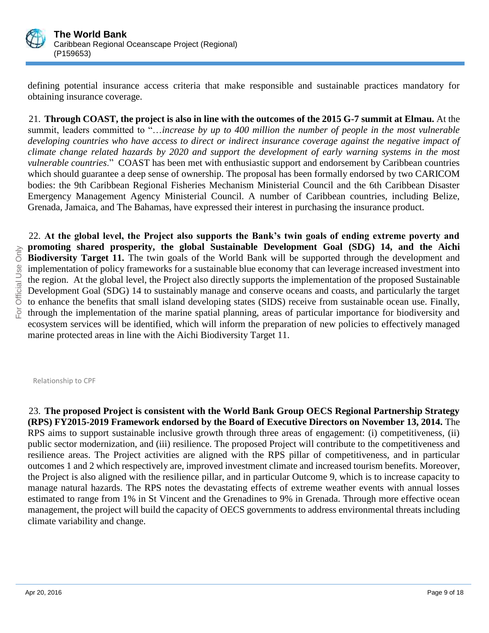

defining potential insurance access criteria that make responsible and sustainable practices mandatory for obtaining insurance coverage.

21. **Through COAST, the project is also in line with the outcomes of the 2015 G-7 summit at Elmau.** At the summit, leaders committed to "…*increase by up to 400 million the number of people in the most vulnerable developing countries who have access to direct or indirect insurance coverage against the negative impact of climate change related hazards by 2020 and support the development of early warning systems in the most vulnerable countries*." COAST has been met with enthusiastic support and endorsement by Caribbean countries which should guarantee a deep sense of ownership. The proposal has been formally endorsed by two CARICOM bodies: the 9th Caribbean Regional Fisheries Mechanism Ministerial Council and the 6th Caribbean Disaster Emergency Management Agency Ministerial Council. A number of Caribbean countries, including Belize, Grenada, Jamaica, and The Bahamas, have expressed their interest in purchasing the insurance product.

22. **At the global level, the Project also supports the Bank's twin goals of ending extreme poverty and promoting shared prosperity, the global Sustainable Development Goal (SDG) 14, and the Aichi Biodiversity Target 11.** The twin goals of the World Bank will be supported through the development and implementation of policy frameworks for a sustainable blue economy that can leverage increased investment into the region. At the global level, the Project also directly supports the implementation of the proposed Sustainable Development Goal (SDG) 14 to sustainably manage and conserve oceans and coasts, and particularly the target to enhance the benefits that small island developing states (SIDS) receive from sustainable ocean use. Finally, through the implementation of the marine spatial planning, areas of particular importance for biodiversity and ecosystem services will be identified, which will inform the preparation of new policies to effectively managed marine protected areas in line with the Aichi Biodiversity Target 11.

Relationship to CPF

23. **The proposed Project is consistent with the World Bank Group OECS Regional Partnership Strategy (RPS) FY2015-2019 Framework endorsed by the Board of Executive Directors on November 13, 2014.** The RPS aims to support sustainable inclusive growth through three areas of engagement: (i) competitiveness, (ii) public sector modernization, and (iii) resilience. The proposed Project will contribute to the competitiveness and resilience areas. The Project activities are aligned with the RPS pillar of competitiveness, and in particular outcomes 1 and 2 which respectively are, improved investment climate and increased tourism benefits. Moreover, the Project is also aligned with the resilience pillar, and in particular Outcome 9, which is to increase capacity to manage natural hazards. The RPS notes the devastating effects of extreme weather events with annual losses estimated to range from 1% in St Vincent and the Grenadines to 9% in Grenada. Through more effective ocean management, the project will build the capacity of OECS governments to address environmental threats including climate variability and change.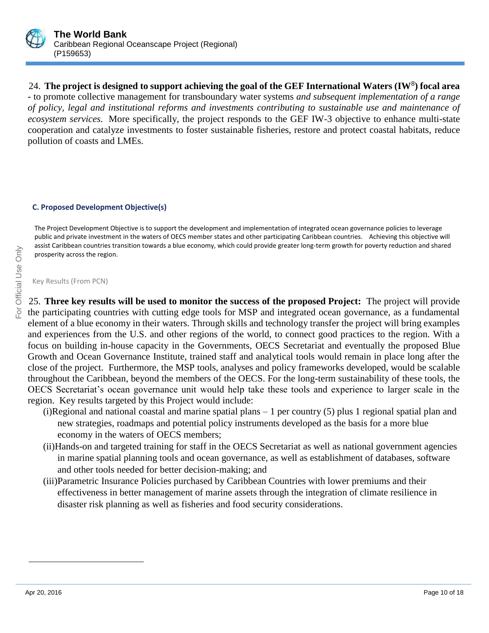

24. **The project is designed to support achieving the goal of the GEF International Waters (IW**<sup>8</sup> **) focal area -** to promote collective management for transboundary water systems *and subsequent implementation of a range of policy, legal and institutional reforms and investments contributing to sustainable use and maintenance of ecosystem services.* More specifically, the project responds to the GEF IW-3 objective to enhance multi-state cooperation and catalyze investments to foster sustainable fisheries, restore and protect coastal habitats, reduce pollution of coasts and LMEs.

## **C. Proposed Development Objective(s)**

The Project Development Objective is to support the development and implementation of integrated ocean governance policies to leverage public and private investment in the waters of OECS member states and other participating Caribbean countries. Achieving this objective will assist Caribbean countries transition towards a blue economy, which could provide greater long-term growth for poverty reduction and shared prosperity across the region.

Key Results (From PCN)

25. **Three key results will be used to monitor the success of the proposed Project:** The project will provide the participating countries with cutting edge tools for MSP and integrated ocean governance, as a fundamental element of a blue economy in their waters. Through skills and technology transfer the project will bring examples and experiences from the U.S. and other regions of the world, to connect good practices to the region. With a focus on building in-house capacity in the Governments, OECS Secretariat and eventually the proposed Blue Growth and Ocean Governance Institute, trained staff and analytical tools would remain in place long after the close of the project. Furthermore, the MSP tools, analyses and policy frameworks developed, would be scalable throughout the Caribbean, beyond the members of the OECS. For the long-term sustainability of these tools, the OECS Secretariat's ocean governance unit would help take these tools and experience to larger scale in the region. Key results targeted by this Project would include:

- (i)Regional and national coastal and marine spatial plans 1 per country (5) plus 1 regional spatial plan and new strategies, roadmaps and potential policy instruments developed as the basis for a more blue economy in the waters of OECS members;
- (ii)Hands-on and targeted training for staff in the OECS Secretariat as well as national government agencies in marine spatial planning tools and ocean governance, as well as establishment of databases, software and other tools needed for better decision-making; and
- (iii)Parametric Insurance Policies purchased by Caribbean Countries with lower premiums and their effectiveness in better management of marine assets through the integration of climate resilience in disaster risk planning as well as fisheries and food security considerations.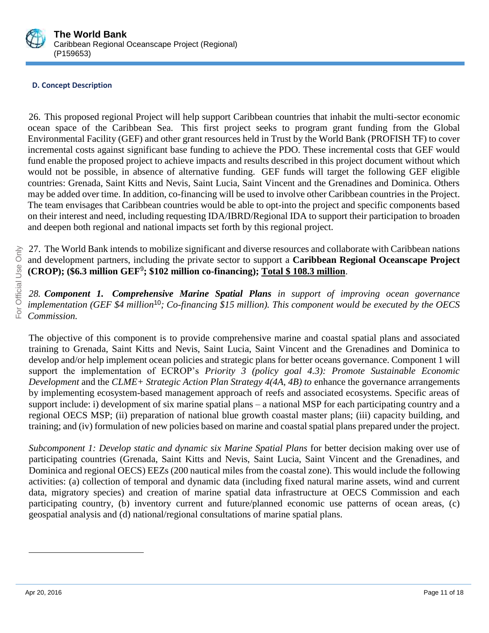

# **D. Concept Description**

26. This proposed regional Project will help support Caribbean countries that inhabit the multi-sector economic ocean space of the Caribbean Sea. This first project seeks to program grant funding from the Global Environmental Facility (GEF) and other grant resources held in Trust by the World Bank (PROFISH TF) to cover incremental costs against significant base funding to achieve the PDO. These incremental costs that GEF would fund enable the proposed project to achieve impacts and results described in this project document without which would not be possible, in absence of alternative funding. GEF funds will target the following GEF eligible countries: Grenada, Saint Kitts and Nevis, Saint Lucia, Saint Vincent and the Grenadines and Dominica. Others may be added over time. In addition, co-financing will be used to involve other Caribbean countries in the Project. The team envisages that Caribbean countries would be able to opt-into the project and specific components based on their interest and need, including requesting IDA/IBRD/Regional IDA to support their participation to broaden and deepen both regional and national impacts set forth by this regional project.

27. The World Bank intends to mobilize significant and diverse resources and collaborate with Caribbean nations and development partners, including the private sector to support a **Caribbean Regional Oceanscape Project (CROP); (\$6.3 million GEF**<sup>9</sup> **; \$102 million co-financing); Total \$ 108.3 million**.

*28. Component 1. Comprehensive Marine Spatial Plans in support of improving ocean governance implementation (GEF \$4 million*<sup>10</sup>*; Co-financing \$15 million). This component would be executed by the OECS Commission.*

The objective of this component is to provide comprehensive marine and coastal spatial plans and associated training to Grenada, Saint Kitts and Nevis, Saint Lucia, Saint Vincent and the Grenadines and Dominica to develop and/or help implement ocean policies and strategic plans for better oceans governance. Component 1 will support the implementation of ECROP's *Priority 3 (policy goal 4.3): Promote Sustainable Economic Development* and the *CLME+ Strategic Action Plan Strategy 4(4A, 4B) to* enhance the governance arrangements by implementing ecosystem-based management approach of reefs and associated ecosystems. Specific areas of support include: i) development of six marine spatial plans – a national MSP for each participating country and a regional OECS MSP; (ii) preparation of national blue growth coastal master plans; (iii) capacity building, and training; and (iv) formulation of new policies based on marine and coastal spatial plans prepared under the project.

*Subcomponent 1: Develop static and dynamic six Marine Spatial Plans* for better decision making over use of participating countries (Grenada, Saint Kitts and Nevis, Saint Lucia, Saint Vincent and the Grenadines, and Dominica and regional OECS) EEZs (200 nautical miles from the coastal zone). This would include the following activities: (a) collection of temporal and dynamic data (including fixed natural marine assets, wind and current data, migratory species) and creation of marine spatial data infrastructure at OECS Commission and each participating country, (b) inventory current and future/planned economic use patterns of ocean areas, (c) geospatial analysis and (d) national/regional consultations of marine spatial plans.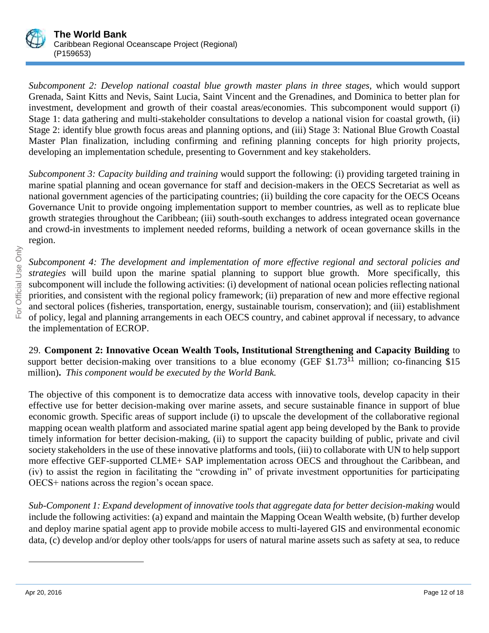

*Subcomponent 2: Develop national coastal blue growth master plans in three stages, which would support* Grenada, Saint Kitts and Nevis, Saint Lucia, Saint Vincent and the Grenadines, and Dominica to better plan for investment, development and growth of their coastal areas/economies*.* This subcomponent would support (i) Stage 1: data gathering and multi-stakeholder consultations to develop a national vision for coastal growth, (ii) Stage 2: identify blue growth focus areas and planning options, and (iii) Stage 3: National Blue Growth Coastal Master Plan finalization, including confirming and refining planning concepts for high priority projects, developing an implementation schedule, presenting to Government and key stakeholders.

*Subcomponent 3: Capacity building and training* would support the following: (i) providing targeted training in marine spatial planning and ocean governance for staff and decision-makers in the OECS Secretariat as well as national government agencies of the participating countries; (ii) building the core capacity for the OECS Oceans Governance Unit to provide ongoing implementation support to member countries, as well as to replicate blue growth strategies throughout the Caribbean; (iii) south-south exchanges to address integrated ocean governance and crowd-in investments to implement needed reforms, building a network of ocean governance skills in the region.

*Subcomponent 4: The development and implementation of more effective regional and sectoral policies and strategies* will build upon the marine spatial planning to support blue growth. More specifically, this subcomponent will include the following activities: (i) development of national ocean policies reflecting national priorities, and consistent with the regional policy framework; (ii) preparation of new and more effective regional and sectoral polices (fisheries, transportation, energy, sustainable tourism, conservation); and (iii) establishment of policy, legal and planning arrangements in each OECS country, and cabinet approval if necessary, to advance the implementation of ECROP.

29. **Component 2: Innovative Ocean Wealth Tools, Institutional Strengthening and Capacity Building** to support better decision-making over transitions to a blue economy (GEF  $$1.73<sup>11</sup>$  million; co-financing  $$15$ million)**.** *This component would be executed by the World Bank.*

The objective of this component is to democratize data access with innovative tools, develop capacity in their effective use for better decision-making over marine assets, and secure sustainable finance in support of blue economic growth. Specific areas of support include (i) to upscale the development of the collaborative regional mapping ocean wealth platform and associated marine spatial agent app being developed by the Bank to provide timely information for better decision-making, (ii) to support the capacity building of public, private and civil society stakeholders in the use of these innovative platforms and tools, (iii) to collaborate with UN to help support more effective GEF-supported CLME+ SAP implementation across OECS and throughout the Caribbean, and (iv) to assist the region in facilitating the "crowding in" of private investment opportunities for participating OECS+ nations across the region's ocean space.

*Sub-Component 1: Expand development of innovative tools that aggregate data for better decision-making* would include the following activities: (a) expand and maintain the Mapping Ocean Wealth website, (b) further develop and deploy marine spatial agent app to provide mobile access to multi-layered GIS and environmental economic data, (c) develop and/or deploy other tools/apps for users of natural marine assets such as safety at sea, to reduce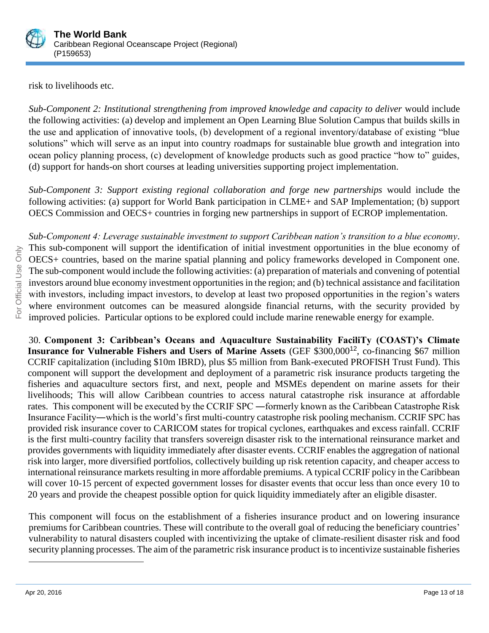

risk to livelihoods etc.

*Sub-Component 2: Institutional strengthening from improved knowledge and capacity to deliver* would include the following activities: (a) develop and implement an Open Learning Blue Solution Campus that builds skills in the use and application of innovative tools, (b) development of a regional inventory/database of existing "blue solutions" which will serve as an input into country roadmaps for sustainable blue growth and integration into ocean policy planning process, (c) development of knowledge products such as good practice "how to" guides, (d) support for hands-on short courses at leading universities supporting project implementation.

*Sub-Component 3: Support existing regional collaboration and forge new partnerships* would include the following activities: (a) support for World Bank participation in CLME+ and SAP Implementation; (b) support OECS Commission and OECS+ countries in forging new partnerships in support of ECROP implementation.

*Sub-Component 4: Leverage sustainable investment to support Caribbean nation's transition to a blue economy*. This sub-component will support the identification of initial investment opportunities in the blue economy of OECS+ countries, based on the marine spatial planning and policy frameworks developed in Component one. The sub-component would include the following activities: (a) preparation of materials and convening of potential investors around blue economy investment opportunities in the region; and (b) technical assistance and facilitation with investors, including impact investors, to develop at least two proposed opportunities in the region's waters where environment outcomes can be measured alongside financial returns, with the security provided by improved policies. Particular options to be explored could include marine renewable energy for example.

30. **Component 3: Caribbean's Oceans and Aquaculture Sustainability FaciliTy (COAST)'s Climate Insurance for Vulnerable Fishers and Users of Marine Assets (GEF \$300,000<sup>12</sup>, co-financing \$67 million** CCRIF capitalization (including \$10m IBRD), plus \$5 million from Bank-executed PROFISH Trust Fund). This component will support the development and deployment of a parametric risk insurance products targeting the fisheries and aquaculture sectors first, and next, people and MSMEs dependent on marine assets for their livelihoods; This will allow Caribbean countries to access natural catastrophe risk insurance at affordable rates. This component will be executed by the CCRIF SPC ―formerly known as the Caribbean Catastrophe Risk Insurance Facility―which is the world's first multi-country catastrophe risk pooling mechanism. CCRIF SPC has provided risk insurance cover to CARICOM states for tropical cyclones, earthquakes and excess rainfall. CCRIF is the first multi-country facility that transfers sovereign disaster risk to the international reinsurance market and provides governments with liquidity immediately after disaster events. CCRIF enables the aggregation of national risk into larger, more diversified portfolios, collectively building up risk retention capacity, and cheaper access to international reinsurance markets resulting in more affordable premiums. A typical CCRIF policy in the Caribbean will cover 10-15 percent of expected government losses for disaster events that occur less than once every 10 to 20 years and provide the cheapest possible option for quick liquidity immediately after an eligible disaster.

This component will focus on the establishment of a fisheries insurance product and on lowering insurance premiums for Caribbean countries. These will contribute to the overall goal of reducing the beneficiary countries' vulnerability to natural disasters coupled with incentivizing the uptake of climate-resilient disaster risk and food security planning processes. The aim of the parametric risk insurance product is to incentivize sustainable fisheries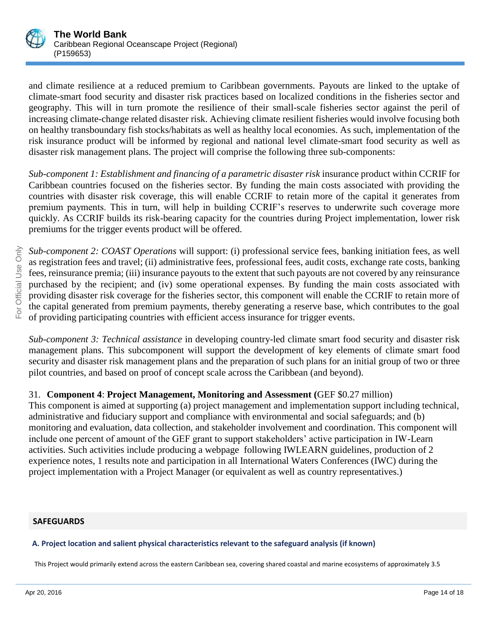

and climate resilience at a reduced premium to Caribbean governments. Payouts are linked to the uptake of climate-smart food security and disaster risk practices based on localized conditions in the fisheries sector and geography. This will in turn promote the resilience of their small-scale fisheries sector against the peril of increasing climate-change related disaster risk. Achieving climate resilient fisheries would involve focusing both on healthy transboundary fish stocks/habitats as well as healthy local economies. As such, implementation of the risk insurance product will be informed by regional and national level climate-smart food security as well as disaster risk management plans. The project will comprise the following three sub-components:

*Sub-component 1: Establishment and financing of a parametric disaster risk* insurance product within CCRIF for Caribbean countries focused on the fisheries sector. By funding the main costs associated with providing the countries with disaster risk coverage, this will enable CCRIF to retain more of the capital it generates from premium payments. This in turn, will help in building CCRIF's reserves to underwrite such coverage more quickly. As CCRIF builds its risk-bearing capacity for the countries during Project implementation, lower risk premiums for the trigger events product will be offered.

*Sub-component 2: COAST Operations* will support: (i) professional service fees, banking initiation fees, as well as registration fees and travel; (ii) administrative fees, professional fees, audit costs, exchange rate costs, banking fees, reinsurance premia; (iii) insurance payouts to the extent that such payouts are not covered by any reinsurance purchased by the recipient; and (iv) some operational expenses. By funding the main costs associated with providing disaster risk coverage for the fisheries sector, this component will enable the CCRIF to retain more of the capital generated from premium payments, thereby generating a reserve base, which contributes to the goal of providing participating countries with efficient access insurance for trigger events.

*Sub-component 3: Technical assistance* in developing country-led climate smart food security and disaster risk management plans. This subcomponent will support the development of key elements of climate smart food security and disaster risk management plans and the preparation of such plans for an initial group of two or three pilot countries, and based on proof of concept scale across the Caribbean (and beyond).

# 31. **Component 4**: **Project Management, Monitoring and Assessment (**GEF \$0.27 million)

This component is aimed at supporting (a) project management and implementation support including technical, administrative and fiduciary support and compliance with environmental and social safeguards; and (b) monitoring and evaluation, data collection, and stakeholder involvement and coordination. This component will include one percent of amount of the GEF grant to support stakeholders' active participation in IW-Learn activities. Such activities include producing a webpage following IWLEARN guidelines, production of 2 experience notes, 1 results note and participation in all International Waters Conferences (IWC) during the project implementation with a Project Manager (or equivalent as well as country representatives.)

# **SAFEGUARDS**

# **A. Project location and salient physical characteristics relevant to the safeguard analysis (if known)**

This Project would primarily extend across the eastern Caribbean sea, covering shared coastal and marine ecosystems of approximately 3.5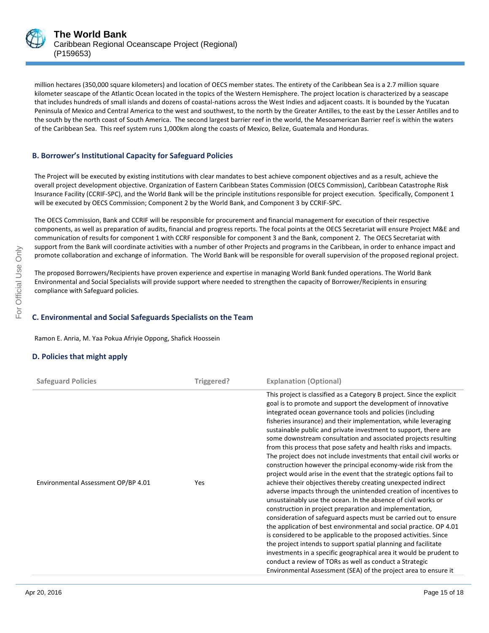

million hectares (350,000 square kilometers) and location of OECS member states. The entirety of the Caribbean Sea is a 2.7 million square kilometer seascape of the Atlantic Ocean located in the topics of the Western Hemisphere. The project location is characterized by a seascape that includes hundreds of small islands and dozens of coastal-nations across the West Indies and adjacent coasts. It is bounded by the Yucatan Peninsula of Mexico and Central America to the west and southwest, to the north by the Greater Antilles, to the east by the Lesser Antilles and to the south by the north coast of South America. The second largest barrier reef in the world, the Mesoamerican Barrier reef is within the waters of the Caribbean Sea. This reef system runs 1,000km along the coasts of Mexico, Belize, Guatemala and Honduras.

#### **B. Borrower's Institutional Capacity for Safeguard Policies**

The Project will be executed by existing institutions with clear mandates to best achieve component objectives and as a result, achieve the overall project development objective. Organization of Eastern Caribbean States Commission (OECS Commission), Caribbean Catastrophe Risk Insurance Facility (CCRIF-SPC), and the World Bank will be the principle institutions responsible for project execution. Specifically, Component 1 will be executed by OECS Commission; Component 2 by the World Bank, and Component 3 by CCRIF-SPC.

The OECS Commission, Bank and CCRIF will be responsible for procurement and financial management for execution of their respective components, as well as preparation of audits, financial and progress reports. The focal points at the OECS Secretariat will ensure Project M&E and communication of results for component 1 with CCRF responsible for component 3 and the Bank, component 2. The OECS Secretariat with support from the Bank will coordinate activities with a number of other Projects and programs in the Caribbean, in order to enhance impact and promote collaboration and exchange of information. The World Bank will be responsible for overall supervision of the proposed regional project.

The proposed Borrowers/Recipients have proven experience and expertise in managing World Bank funded operations. The World Bank Environmental and Social Specialists will provide support where needed to strengthen the capacity of Borrower/Recipients in ensuring compliance with Safeguard policies.

#### **C. Environmental and Social Safeguards Specialists on the Team**

Ramon E. Anria, M. Yaa Pokua Afriyie Oppong, Shafick Hoossein

#### **D. Policies that might apply**

| <b>Safeguard Policies</b>           | Triggered? | <b>Explanation (Optional)</b>                                                                                                                                                                                                                                                                                                                                                                                                                                                                                                                                                                                                                                                                                                                                                                                                                                                                                                                                                                                                                                                                                                                                                                                                                                                                                                                                                                                                                       |
|-------------------------------------|------------|-----------------------------------------------------------------------------------------------------------------------------------------------------------------------------------------------------------------------------------------------------------------------------------------------------------------------------------------------------------------------------------------------------------------------------------------------------------------------------------------------------------------------------------------------------------------------------------------------------------------------------------------------------------------------------------------------------------------------------------------------------------------------------------------------------------------------------------------------------------------------------------------------------------------------------------------------------------------------------------------------------------------------------------------------------------------------------------------------------------------------------------------------------------------------------------------------------------------------------------------------------------------------------------------------------------------------------------------------------------------------------------------------------------------------------------------------------|
| Environmental Assessment OP/BP 4.01 | Yes        | This project is classified as a Category B project. Since the explicit<br>goal is to promote and support the development of innovative<br>integrated ocean governance tools and policies (including<br>fisheries insurance) and their implementation, while leveraging<br>sustainable public and private investment to support, there are<br>some downstream consultation and associated projects resulting<br>from this process that pose safety and health risks and impacts.<br>The project does not include investments that entail civil works or<br>construction however the principal economy-wide risk from the<br>project would arise in the event that the strategic options fail to<br>achieve their objectives thereby creating unexpected indirect<br>adverse impacts through the unintended creation of incentives to<br>unsustainably use the ocean. In the absence of civil works or<br>construction in project preparation and implementation,<br>consideration of safeguard aspects must be carried out to ensure<br>the application of best environmental and social practice. OP 4.01<br>is considered to be applicable to the proposed activities. Since<br>the project intends to support spatial planning and facilitate<br>investments in a specific geographical area it would be prudent to<br>conduct a review of TORs as well as conduct a Strategic<br>Environmental Assessment (SEA) of the project area to ensure it |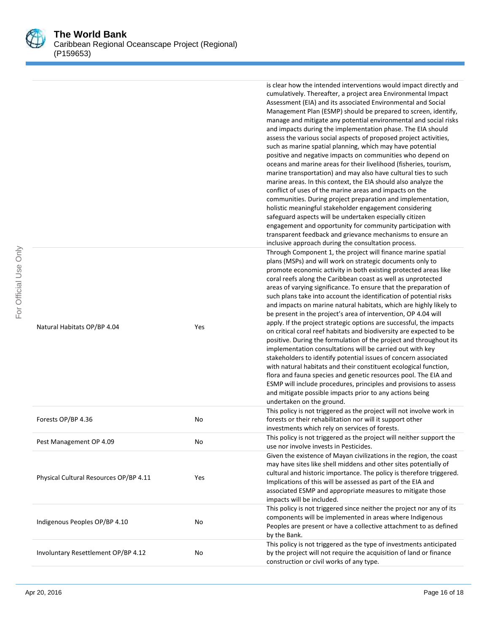

For Official Use Only

For Official Use Only

|                                        |     | is clear how the intended interventions would impact directly and<br>cumulatively. Thereafter, a project area Environmental Impact<br>Assessment (EIA) and its associated Environmental and Social<br>Management Plan (ESMP) should be prepared to screen, identify,<br>manage and mitigate any potential environmental and social risks<br>and impacts during the implementation phase. The EIA should<br>assess the various social aspects of proposed project activities,<br>such as marine spatial planning, which may have potential<br>positive and negative impacts on communities who depend on<br>oceans and marine areas for their livelihood (fisheries, tourism,<br>marine transportation) and may also have cultural ties to such<br>marine areas. In this context, the EIA should also analyze the<br>conflict of uses of the marine areas and impacts on the<br>communities. During project preparation and implementation,<br>holistic meaningful stakeholder engagement considering<br>safeguard aspects will be undertaken especially citizen<br>engagement and opportunity for community participation with<br>transparent feedback and grievance mechanisms to ensure an<br>inclusive approach during the consultation process. |
|----------------------------------------|-----|-----------------------------------------------------------------------------------------------------------------------------------------------------------------------------------------------------------------------------------------------------------------------------------------------------------------------------------------------------------------------------------------------------------------------------------------------------------------------------------------------------------------------------------------------------------------------------------------------------------------------------------------------------------------------------------------------------------------------------------------------------------------------------------------------------------------------------------------------------------------------------------------------------------------------------------------------------------------------------------------------------------------------------------------------------------------------------------------------------------------------------------------------------------------------------------------------------------------------------------------------------|
| Natural Habitats OP/BP 4.04            | Yes | Through Component 1, the project will finance marine spatial<br>plans (MSPs) and will work on strategic documents only to<br>promote economic activity in both existing protected areas like<br>coral reefs along the Caribbean coast as well as unprotected<br>areas of varying significance. To ensure that the preparation of<br>such plans take into account the identification of potential risks<br>and impacts on marine natural habitats, which are highly likely to<br>be present in the project's area of intervention, OP 4.04 will<br>apply. If the project strategic options are successful, the impacts<br>on critical coral reef habitats and biodiversity are expected to be<br>positive. During the formulation of the project and throughout its<br>implementation consultations will be carried out with key<br>stakeholders to identify potential issues of concern associated<br>with natural habitats and their constituent ecological function,<br>flora and fauna species and genetic resources pool. The EIA and<br>ESMP will include procedures, principles and provisions to assess<br>and mitigate possible impacts prior to any actions being<br>undertaken on the ground.                                             |
| Forests OP/BP 4.36                     | No  | This policy is not triggered as the project will not involve work in<br>forests or their rehabilitation nor will it support other<br>investments which rely on services of forests.                                                                                                                                                                                                                                                                                                                                                                                                                                                                                                                                                                                                                                                                                                                                                                                                                                                                                                                                                                                                                                                                 |
| Pest Management OP 4.09                | No  | This policy is not triggered as the project will neither support the<br>use nor involve invests in Pesticides.                                                                                                                                                                                                                                                                                                                                                                                                                                                                                                                                                                                                                                                                                                                                                                                                                                                                                                                                                                                                                                                                                                                                      |
| Physical Cultural Resources OP/BP 4.11 | Yes | Given the existence of Mayan civilizations in the region, the coast<br>may have sites like shell middens and other sites potentially of<br>cultural and historic importance. The policy is therefore triggered.<br>Implications of this will be assessed as part of the EIA and<br>associated ESMP and appropriate measures to mitigate those<br>impacts will be included.                                                                                                                                                                                                                                                                                                                                                                                                                                                                                                                                                                                                                                                                                                                                                                                                                                                                          |
| Indigenous Peoples OP/BP 4.10          | No  | This policy is not triggered since neither the project nor any of its<br>components will be implemented in areas where Indigenous<br>Peoples are present or have a collective attachment to as defined<br>by the Bank.                                                                                                                                                                                                                                                                                                                                                                                                                                                                                                                                                                                                                                                                                                                                                                                                                                                                                                                                                                                                                              |
| Involuntary Resettlement OP/BP 4.12    | No  | This policy is not triggered as the type of investments anticipated<br>by the project will not require the acquisition of land or finance<br>construction or civil works of any type.                                                                                                                                                                                                                                                                                                                                                                                                                                                                                                                                                                                                                                                                                                                                                                                                                                                                                                                                                                                                                                                               |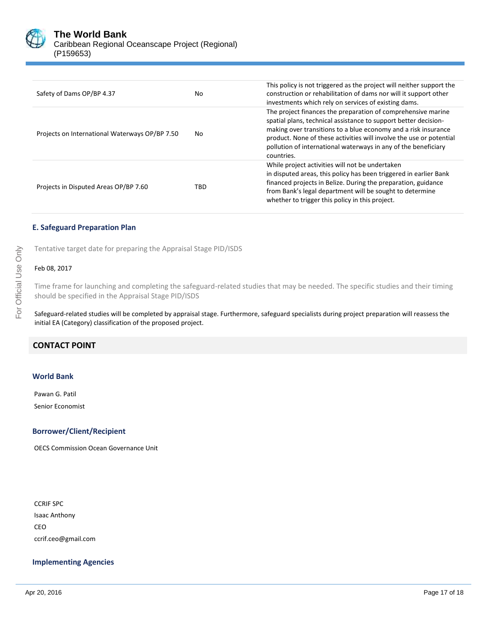

| Safety of Dams OP/BP 4.37                      | No  | This policy is not triggered as the project will neither support the<br>construction or rehabilitation of dams nor will it support other<br>investments which rely on services of existing dams.                                                                                                                                                         |
|------------------------------------------------|-----|----------------------------------------------------------------------------------------------------------------------------------------------------------------------------------------------------------------------------------------------------------------------------------------------------------------------------------------------------------|
| Projects on International Waterways OP/BP 7.50 | No. | The project finances the preparation of comprehensive marine<br>spatial plans, technical assistance to support better decision-<br>making over transitions to a blue economy and a risk insurance<br>product. None of these activities will involve the use or potential<br>pollution of international waterways in any of the beneficiary<br>countries. |
| Projects in Disputed Areas OP/BP 7.60          | TBD | While project activities will not be undertaken<br>in disputed areas, this policy has been triggered in earlier Bank<br>financed projects in Belize. During the preparation, guidance<br>from Bank's legal department will be sought to determine<br>whether to trigger this policy in this project.                                                     |

#### **E. Safeguard Preparation Plan**

Tentative target date for preparing the Appraisal Stage PID/ISDS

#### Feb 08, 2017

Time frame for launching and completing the safeguard-related studies that may be needed. The specific studies and their timing should be specified in the Appraisal Stage PID/ISDS

Safeguard-related studies will be completed by appraisal stage. Furthermore, safeguard specialists during project preparation will reassess the initial EA (Category) classification of the proposed project.

# **CONTACT POINT**

#### **World Bank**

Pawan G. Patil Senior Economist

#### **Borrower/Client/Recipient**

OECS Commission Ocean Governance Unit

CCRIF SPC Isaac Anthony CEO ccrif.ceo@gmail.com

#### **Implementing Agencies**